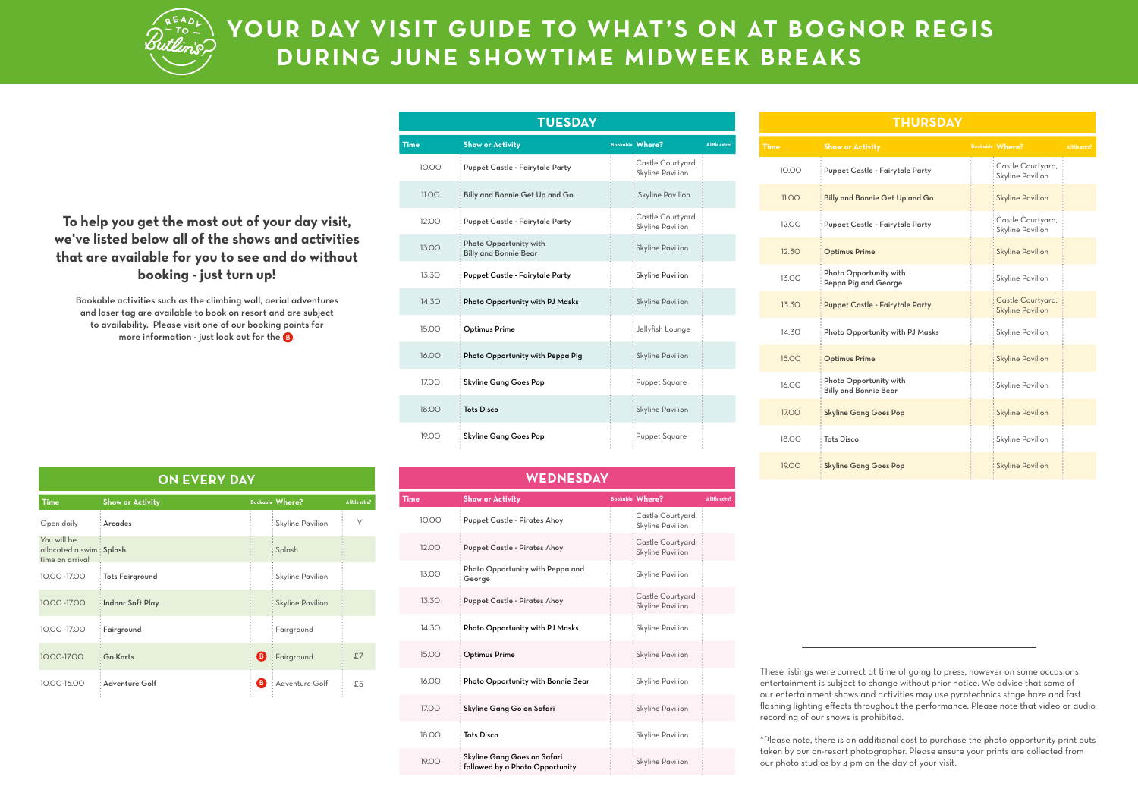

## **YOUR DAY VISIT GUIDE TO WHAT'S ON AT BOGNOR REGIS DURING JUNE SHOWTIME MIDWEEK BREAKS**

**To help you get the most out of your day visit, we've listed below all of the shows and activities that are available for you to see and do without booking - just turn up!**

Bookable activities such as the climbing wall, aerial adventures and laser tag are available to book on resort and are subject to availability. Please visit one of our booking points for more information - just look out for the  $\mathbf G$ .

| <b>TUESDAY</b> |                                                        |  |                                       |                 |  |  |
|----------------|--------------------------------------------------------|--|---------------------------------------|-----------------|--|--|
| <b>Time</b>    | <b>Show or Activity</b>                                |  | <b>Bookable Where?</b>                | A little extra? |  |  |
| 10.00          | Puppet Castle - Fairytale Party                        |  | Castle Courtyard,<br>Skyline Pavilion |                 |  |  |
| 11.00          | Billy and Bonnie Get Up and Go                         |  | <b>Skyline Pavilion</b>               |                 |  |  |
| 12.00          | Puppet Castle - Fairytale Party                        |  | Castle Courtyard,<br>Skyline Pavilion |                 |  |  |
| 13.00          | Photo Opportunity with<br><b>Billy and Bonnie Bear</b> |  | <b>Skyline Pavilion</b>               |                 |  |  |
| 13.30          | Puppet Castle - Fairytale Party                        |  | Skyline Pavilion                      |                 |  |  |
| 14.3O          | Photo Opportunity with PJ Masks                        |  | <b>Skyline Pavilion</b>               |                 |  |  |
| 15.00          | <b>Optimus Prime</b>                                   |  | Jellyfish Lounge                      |                 |  |  |
| 16.00          | Photo Opportunity with Peppa Pig                       |  | <b>Skyline Pavilion</b>               |                 |  |  |
| 17.00          | Skyline Gang Goes Pop                                  |  | Puppet Square                         |                 |  |  |
| 18.00          | <b>Tots Disco</b>                                      |  | <b>Skyline Pavilion</b>               |                 |  |  |
| 19.00          | Skyline Gang Goes Pop                                  |  | <b>Puppet Square</b>                  |                 |  |  |

## **WEDNESDAY**

| Time  | <b>Show or Activity</b>                                        | <b>Bookable Where?</b>                | A little extra? |
|-------|----------------------------------------------------------------|---------------------------------------|-----------------|
| 10.00 | <b>Puppet Castle - Pirates Ahoy</b>                            | Castle Courtyard,<br>Skyline Pavilion |                 |
| 12.00 | <b>Puppet Castle - Pirates Ahoy</b>                            | Castle Courtyard,<br>Skyline Pavilion |                 |
| 13.00 | Photo Opportunity with Peppa and<br>George                     | Skyline Pavilion                      |                 |
| 13.3O | <b>Puppet Castle - Pirates Ahoy</b>                            | Castle Courtyard,<br>Skyline Pavilion |                 |
| 14.3O | Photo Opportunity with PJ Masks                                | Skyline Pavilion                      |                 |
| 15.00 | <b>Optimus Prime</b>                                           | Skyline Pavilion                      |                 |
| 16.00 | Photo Opportunity with Bonnie Bear                             | Skyline Pavilion                      |                 |
| 17.00 | Skyline Gang Go on Safari                                      | Skyline Pavilion                      |                 |
| 18.00 | <b>Tots Disco</b>                                              | Skyline Pavilion                      |                 |
| 19.00 | Skyline Gang Goes on Safari<br>followed by a Photo Opportunity | Skyline Pavilion                      |                 |
|       |                                                                |                                       |                 |

| <b>THURSDAY</b> |                                                        |  |                                              |                 |  |
|-----------------|--------------------------------------------------------|--|----------------------------------------------|-----------------|--|
| <b>Time</b>     | <b>Show or Activity</b>                                |  | Bookable Where?                              | A little extra? |  |
| 10.00           | Puppet Castle - Fairytale Party                        |  | Castle Courtyard,<br>Skyline Pavilion        |                 |  |
| 11.00           | Billy and Bonnie Get Up and Go                         |  | <b>Skyline Pavilion</b>                      |                 |  |
| 12.00           | Puppet Castle - Fairytale Party                        |  | Castle Courtyard,<br>Skyline Pavilion        |                 |  |
| 12.30           | <b>Optimus Prime</b>                                   |  | <b>Skyline Pavilion</b>                      |                 |  |
| 13.00           | Photo Opportunity with<br>Peppa Pig and George         |  | Skyline Pavilion                             |                 |  |
| 13.30           | <b>Puppet Castle - Fairytale Party</b>                 |  | Castle Courtyard,<br><b>Skyline Pavilion</b> |                 |  |
| 14.3O           | Photo Opportunity with PJ Masks                        |  | Skyline Pavilion                             |                 |  |
| 15.00           | <b>Optimus Prime</b>                                   |  | <b>Skyline Pavilion</b>                      |                 |  |
| 16.00           | Photo Opportunity with<br><b>Billy and Bonnie Bear</b> |  | Skyline Pavilion                             |                 |  |
| 17.00           | <b>Skyline Gang Goes Pop</b>                           |  | <b>Skyline Pavilion</b>                      |                 |  |
| 18.00           | <b>Tots Disco</b>                                      |  | Skyline Pavilion                             |                 |  |
| 19.00           | <b>Skyline Gang Goes Pop</b>                           |  | <b>Skyline Pavilion</b>                      |                 |  |

These listings were correct at time of going to press, however on some occasions entertainment is subject to change without prior notice. We advise that some of our entertainment shows and activities may use pyrotechnics stage haze and fast flashing lighting effects throughout the performance. Please note that video or audio recording of our shows is prohibited.

\*Please note, there is an additional cost to purchase the photo opportunity print outs taken by our on-resort photographer. Please ensure your prints are collected from our photo studios by 4 pm on the day of your visit.

| UN EVERY DAY                                              |                         |    |                         |                 |  |
|-----------------------------------------------------------|-------------------------|----|-------------------------|-----------------|--|
| <b>Time</b>                                               | <b>Show or Activity</b> |    | <b>Bookable Where?</b>  | A little extra? |  |
| Open daily                                                | Arcades                 |    | Skyline Pavilion        | γ               |  |
| You will be<br>allocated a swim Splash<br>time on arrival |                         |    | Splash                  |                 |  |
| 10.00 -17.00                                              | <b>Tots Fairground</b>  |    | Skyline Pavilion        |                 |  |
| 10.00 -17.00                                              | <b>Indoor Soft Play</b> |    | <b>Skyline Pavilion</b> |                 |  |
| 10.00 -17.00                                              | Fairground              |    | Fairground              |                 |  |
| 10.00-17.00                                               | <b>Go Karts</b>         | ❸  | Fairground              | £7              |  |
| 10.00-16.00                                               | Adventure Golf          | B. | Adventure Golf          | £5              |  |

**ON EVERY DAY**